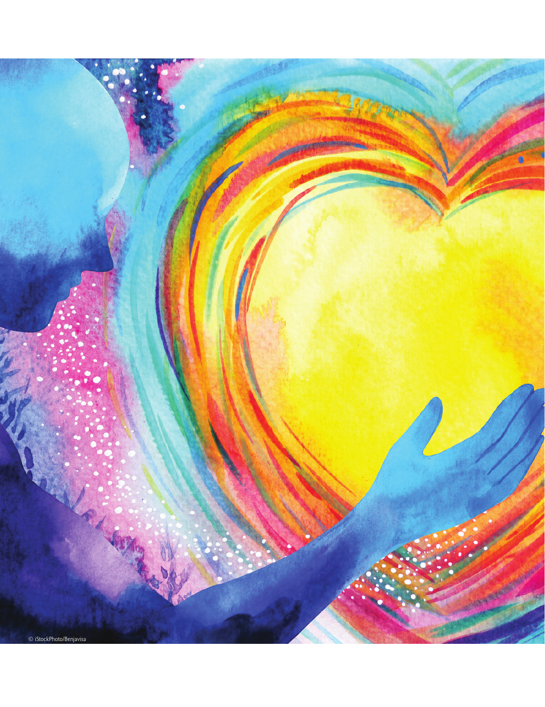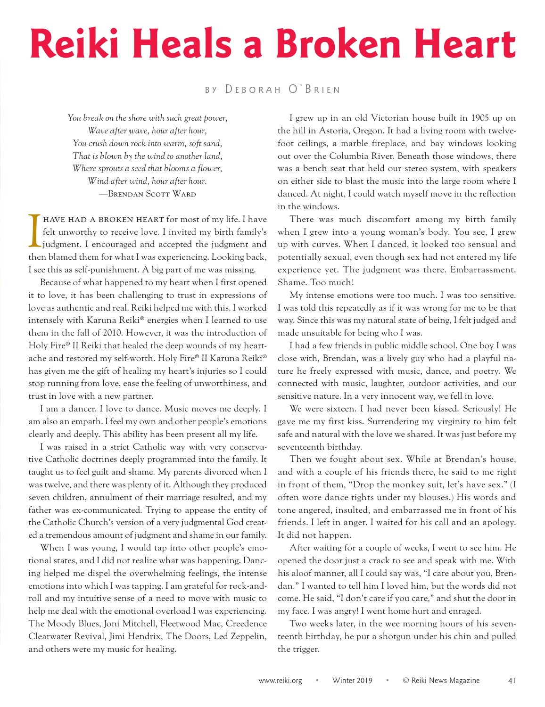## **Reiki Heals a Broken Heart**

by Deborah O'Brien

*You break on the shore with such great power, Wave after wave, hour after hour, You crush down rock into warm, soft sand, That is blown by the wind to another land, Where sprouts a seed that blooms a flower, Wind after wind, hour after hour.* —Brendan Scott Ward

HAVE HAD A BROKEN HEART for most of my life. I have felt unworthy to receive love. I invited my birth family's judgment. I encouraged and accepted the judgment and then blamed them for what I was experiencing. Looking back have had a broken heart for most of my life. I have felt unworthy to receive love. I invited my birth family's judgment. I encouraged and accepted the judgment and I see this as self-punishment. A big part of me was missing.

Because of what happened to my heart when I first opened it to love, it has been challenging to trust in expressions of love as authentic and real. Reiki helped me with this. I worked intensely with Karuna Reiki® energies when I learned to use them in the fall of 2010. However, it was the introduction of Holy Fire® II Reiki that healed the deep wounds of my heartache and restored my self-worth. Holy Fire® II Karuna Reiki® has given me the gift of healing my heart's injuries so I could stop running from love, ease the feeling of unworthiness, and trust in love with a new partner.

I am a dancer. I love to dance. Music moves me deeply. I am also an empath. I feel my own and other people's emotions clearly and deeply. This ability has been present all my life.

I was raised in a strict Catholic way with very conservative Catholic doctrines deeply programmed into the family. It taught us to feel guilt and shame. My parents divorced when I was twelve, and there was plenty of it. Although they produced seven children, annulment of their marriage resulted, and my father was ex-communicated. Trying to appease the entity of the Catholic Church's version of a very judgmental God created a tremendous amount of judgment and shame in our family.

When I was young, I would tap into other people's emotional states, and I did not realize what was happening. Dancing helped me dispel the overwhelming feelings, the intense emotions into which I was tapping. I am grateful for rock-androll and my intuitive sense of a need to move with music to help me deal with the emotional overload I was experiencing. The Moody Blues, Joni Mitchell, Fleetwood Mac, Creedence Clearwater Revival, Jimi Hendrix, The Doors, Led Zeppelin, and others were my music for healing.

I grew up in an old Victorian house built in 1905 up on the hill in Astoria, Oregon. It had a living room with twelvefoot ceilings, a marble fireplace, and bay windows looking out over the Columbia River. Beneath those windows, there was a bench seat that held our stereo system, with speakers on either side to blast the music into the large room where I danced. At night, I could watch myself move in the reflection in the windows.

There was much discomfort among my birth family when I grew into a young woman's body. You see, I grew up with curves. When I danced, it looked too sensual and potentially sexual, even though sex had not entered my life experience yet. The judgment was there. Embarrassment. Shame. Too much!

My intense emotions were too much. I was too sensitive. I was told this repeatedly as if it was wrong for me to be that way. Since this was my natural state of being, I felt judged and made unsuitable for being who I was.

I had a few friends in public middle school. One boy I was close with, Brendan, was a lively guy who had a playful nature he freely expressed with music, dance, and poetry. We connected with music, laughter, outdoor activities, and our sensitive nature. In a very innocent way, we fell in love.

We were sixteen. I had never been kissed. Seriously! He gave me my first kiss. Surrendering my virginity to him felt safe and natural with the love we shared. It was just before my seventeenth birthday.

Then we fought about sex. While at Brendan's house, and with a couple of his friends there, he said to me right in front of them, "Drop the monkey suit, let's have sex." (I often wore dance tights under my blouses.) His words and tone angered, insulted, and embarrassed me in front of his friends. I left in anger. I waited for his call and an apology. It did not happen.

After waiting for a couple of weeks, I went to see him. He opened the door just a crack to see and speak with me. With his aloof manner, all I could say was, "I care about you, Brendan." I wanted to tell him I loved him, but the words did not come. He said, "I don't care if you care," and shut the door in my face. I was angry! I went home hurt and enraged.

Two weeks later, in the wee morning hours of his seventeenth birthday, he put a shotgun under his chin and pulled the trigger.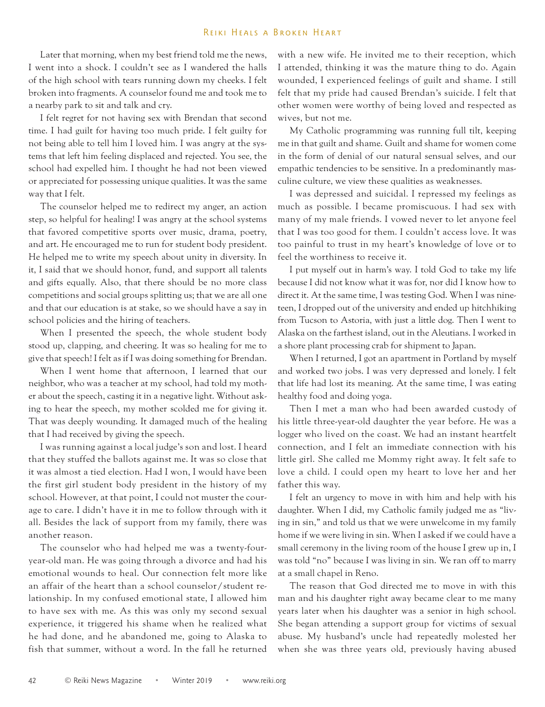## Reiki Heals a Broken Heart

Later that morning, when my best friend told me the news, I went into a shock. I couldn't see as I wandered the halls of the high school with tears running down my cheeks. I felt broken into fragments. A counselor found me and took me to a nearby park to sit and talk and cry.

I felt regret for not having sex with Brendan that second time. I had guilt for having too much pride. I felt guilty for not being able to tell him I loved him. I was angry at the systems that left him feeling displaced and rejected. You see, the school had expelled him. I thought he had not been viewed or appreciated for possessing unique qualities. It was the same way that I felt.

The counselor helped me to redirect my anger, an action step, so helpful for healing! I was angry at the school systems that favored competitive sports over music, drama, poetry, and art. He encouraged me to run for student body president. He helped me to write my speech about unity in diversity. In it, I said that we should honor, fund, and support all talents and gifts equally. Also, that there should be no more class competitions and social groups splitting us; that we are all one and that our education is at stake, so we should have a say in school policies and the hiring of teachers.

When I presented the speech, the whole student body stood up, clapping, and cheering. It was so healing for me to give that speech! I felt as if I was doing something for Brendan.

When I went home that afternoon, I learned that our neighbor, who was a teacher at my school, had told my mother about the speech, casting it in a negative light. Without asking to hear the speech, my mother scolded me for giving it. That was deeply wounding. It damaged much of the healing that I had received by giving the speech.

I was running against a local judge's son and lost. I heard that they stuffed the ballots against me. It was so close that it was almost a tied election. Had I won, I would have been the first girl student body president in the history of my school. However, at that point, I could not muster the courage to care. I didn't have it in me to follow through with it all. Besides the lack of support from my family, there was another reason.

The counselor who had helped me was a twenty-fouryear-old man. He was going through a divorce and had his emotional wounds to heal. Our connection felt more like an affair of the heart than a school counselor/student relationship. In my confused emotional state, I allowed him to have sex with me. As this was only my second sexual experience, it triggered his shame when he realized what he had done, and he abandoned me, going to Alaska to fish that summer, without a word. In the fall he returned with a new wife. He invited me to their reception, which I attended, thinking it was the mature thing to do. Again wounded, I experienced feelings of guilt and shame. I still felt that my pride had caused Brendan's suicide. I felt that other women were worthy of being loved and respected as wives, but not me.

My Catholic programming was running full tilt, keeping me in that guilt and shame. Guilt and shame for women come in the form of denial of our natural sensual selves, and our empathic tendencies to be sensitive. In a predominantly masculine culture, we view these qualities as weaknesses.

I was depressed and suicidal. I repressed my feelings as much as possible. I became promiscuous. I had sex with many of my male friends. I vowed never to let anyone feel that I was too good for them. I couldn't access love. It was too painful to trust in my heart's knowledge of love or to feel the worthiness to receive it.

I put myself out in harm's way. I told God to take my life because I did not know what it was for, nor did I know how to direct it. At the same time, I was testing God. When I was nineteen, I dropped out of the university and ended up hitchhiking from Tucson to Astoria, with just a little dog. Then I went to Alaska on the farthest island, out in the Aleutians. I worked in a shore plant processing crab for shipment to Japan.

When I returned, I got an apartment in Portland by myself and worked two jobs. I was very depressed and lonely. I felt that life had lost its meaning. At the same time, I was eating healthy food and doing yoga.

Then I met a man who had been awarded custody of his little three-year-old daughter the year before. He was a logger who lived on the coast. We had an instant heartfelt connection, and I felt an immediate connection with his little girl. She called me Mommy right away. It felt safe to love a child. I could open my heart to love her and her father this way.

I felt an urgency to move in with him and help with his daughter. When I did, my Catholic family judged me as "living in sin," and told us that we were unwelcome in my family home if we were living in sin. When I asked if we could have a small ceremony in the living room of the house I grew up in, I was told "no" because I was living in sin. We ran off to marry at a small chapel in Reno.

The reason that God directed me to move in with this man and his daughter right away became clear to me many years later when his daughter was a senior in high school. She began attending a support group for victims of sexual abuse. My husband's uncle had repeatedly molested her when she was three years old, previously having abused